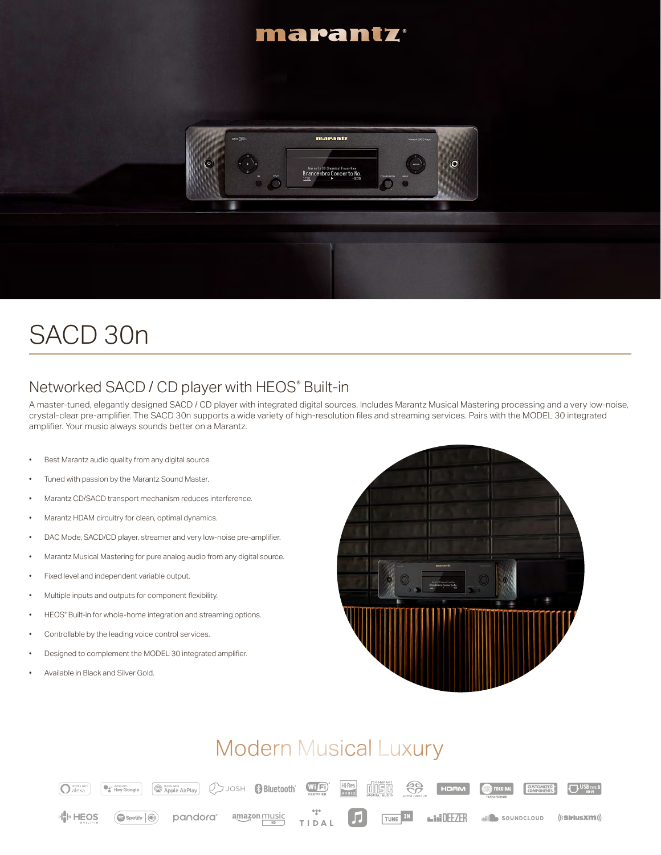#### marantz



# SACD 30n

### Networked SACD / CD player with HEOS® Built-in

A master-tuned, elegantly designed SACD / CD player with integrated digital sources. Includes Marantz Musical Mastering processing and a very low-noise, crystal-clear pre-amplifier. The SACD 30n supports a wide variety of high-resolution files and streaming services. Pairs with the MODEL 30 integrated amplifier. Your music always sounds better on a Marantz.

- Best Marantz audio quality from any digital source.
- Tuned with passion by the Marantz Sound Master.
- Marantz CD/SACD transport mechanism reduces interference.
- Marantz HDAM circuitry for clean, optimal dynamics.
- DAC Mode, SACD/CD player, streamer and very low-noise pre-amplifier.
- Marantz Musical Mastering for pure analog audio from any digital source.
- Fixed level and independent variable output.
- Multiple inputs and outputs for component flexibility.
- HEOS® Built-in for whole-home integration and streaming options.
- Controllable by the leading voice control services.
- Designed to complement the MODEL 30 integrated amplifier.
- Available in Black and Silver Gold.



## **Modern Musical Luxury**